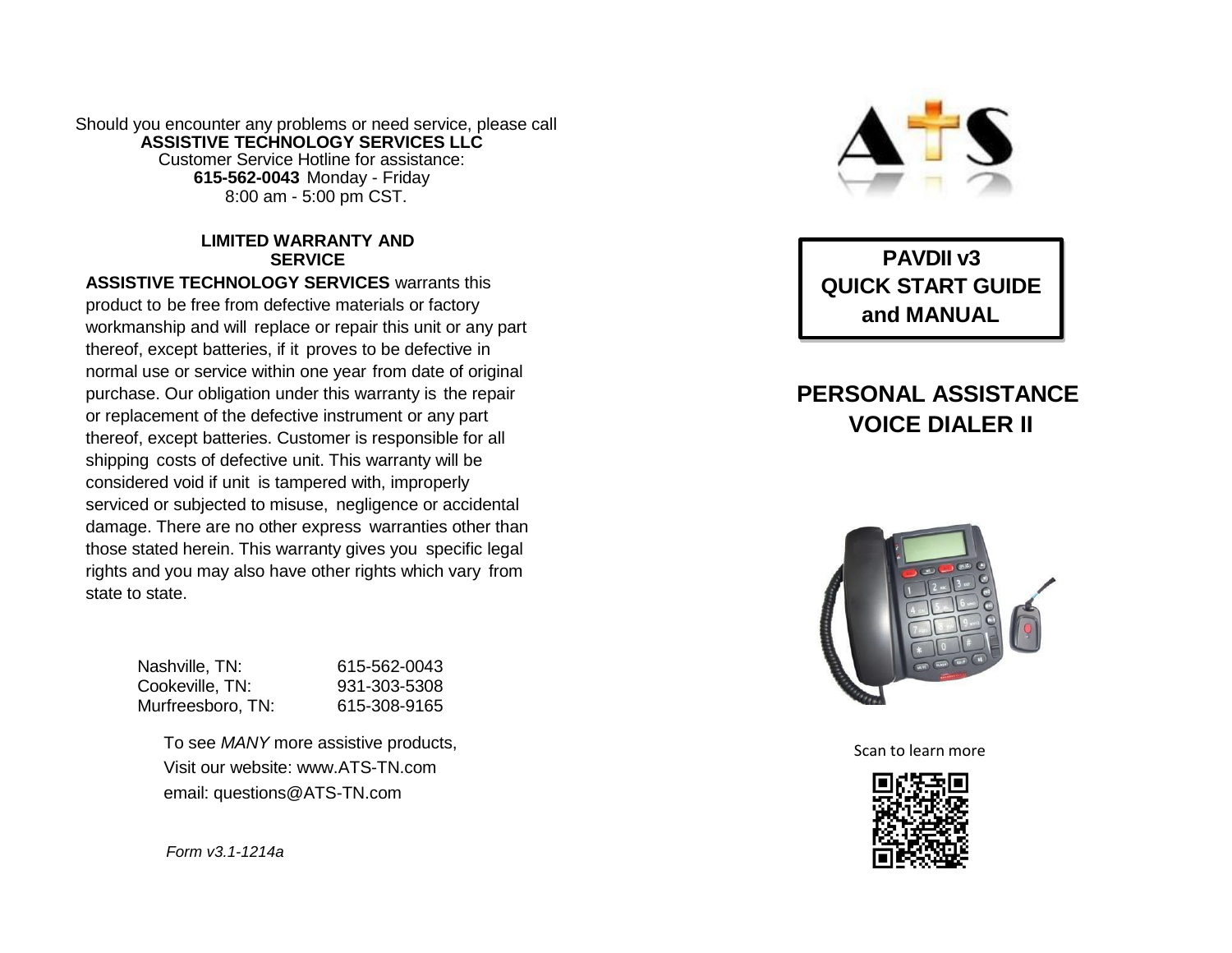Should you encounter any problems or need service, please call **ASSISTIVE TECHNOLOGY SERVICES LLC** Customer Service Hotline for assistance: **615-562-0043** Monday - Friday 8:00 am - 5:00 pm CST.

#### **LIMITED WARRANTY AND SERVICE**

**ASSISTIVE TECHNOLOGY SERVICES** warrants this product to be free from defective materials or factory workmanship and will replace or repair this unit or any part thereof, except batteries, if it proves to be defective in normal use or service within one year from date of original purchase. Our obligation under this warranty is the repair or replacement of the defective instrument or any part thereof, except batteries. Customer is responsible for all shipping costs of defective unit. This warranty will be considered void if unit is tampered with, improperly serviced or subjected to misuse, negligence or accidental damage. There are no other express warranties other than those stated herein. This warranty gives you specific legal rights and you may also have other rights which vary from state to state.

| Nashville, TN:    | 615-562-0043 |
|-------------------|--------------|
| Cookeville, TN:   | 931-303-5308 |
| Murfreesboro, TN: | 615-308-9165 |

To see *MANY* more assistive products, Visit our website: www.ATS-TN.com email: questions@ATS-TN.com

*Form v3.1-1214a*



**PAVDII v3 QUICK START GUIDE and MANUAL**

# **PERSONAL ASSISTANCE VOICE DIALER II**



Scan to learn more

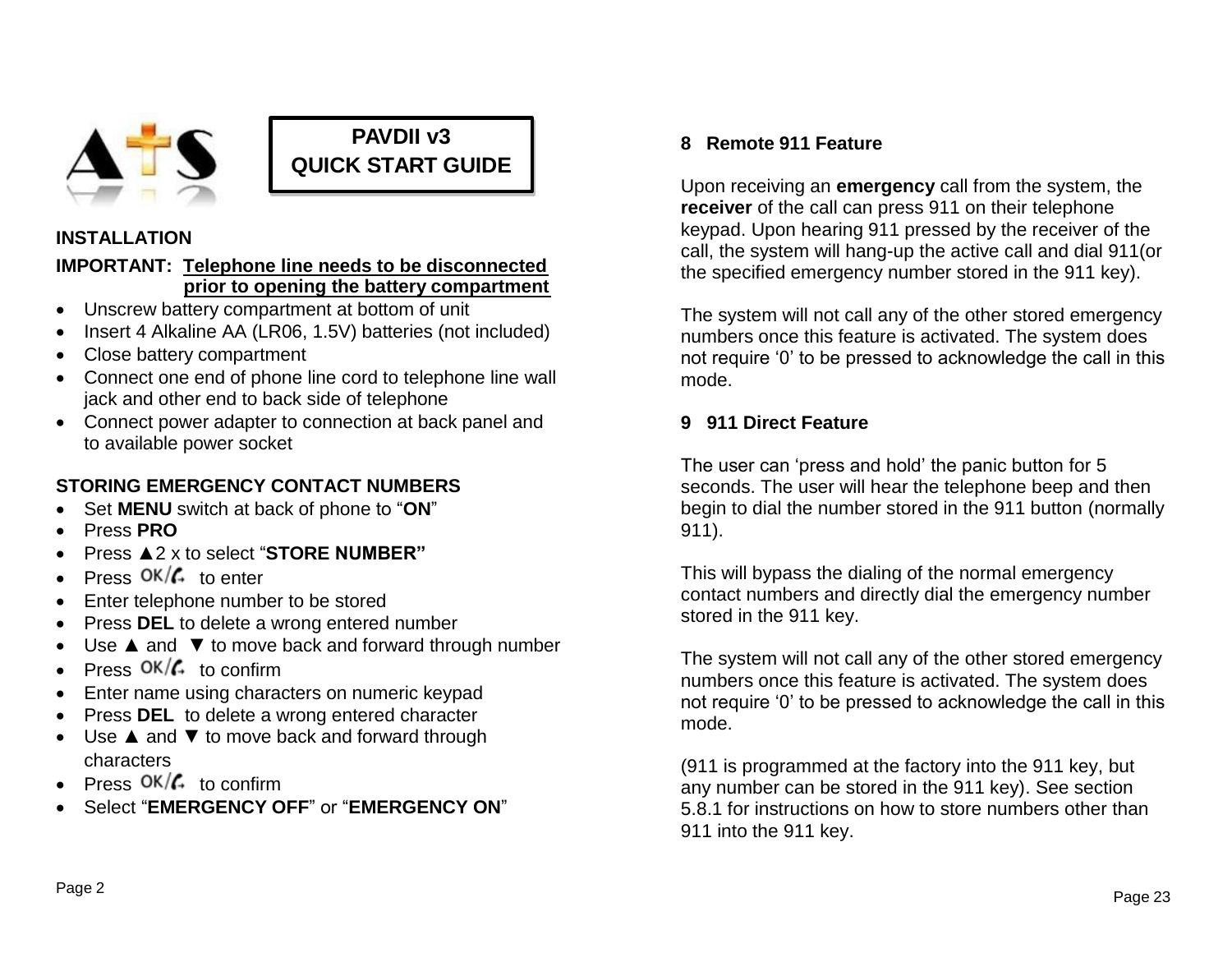

# **PAVDII v3 QUICK START GUIDE**

#### **INSTALLATION**

#### **IMPORTANT: Telephone line needs to be disconnected prior to opening the battery compartment**

- Unscrew battery compartment at bottom of unit
- Insert 4 Alkaline AA (LR06, 1.5V) batteries (not included)
- Close battery compartment
- Connect one end of phone line cord to telephone line wall jack and other end to back side of telephone
- Connect power adapter to connection at back panel and to available power socket

## **STORING EMERGENCY CONTACT NUMBERS**

- Set **MENU** switch at back of phone to "**ON**"
- Press **PRO**
- Press ▲2 x to select "**STORE NUMBER"**
- Press  $OK/\mathcal{L}$  to enter
- Enter telephone number to be stored
- Press **DEL** to delete a wrong entered number
- Use ▲ and ▼ to move back and forward through number
- Press  $OK/\mathcal{L}$  to confirm
- Enter name using characters on numeric keypad
- Press **DEL** to delete a wrong entered character
- Use ▲ and ▼ to move back and forward through characters
- Press  $OK/\mathcal{L}$  to confirm
- Select "**EMERGENCY OFF**" or "**EMERGENCY ON**"

#### **8 Remote 911 Feature**

Upon receiving an **emergency** call from the system, the **receiver** of the call can press 911 on their telephone keypad. Upon hearing 911 pressed by the receiver of the call, the system will hang-up the active call and dial 911(or the specified emergency number stored in the 911 key).

The system will not call any of the other stored emergency numbers once this feature is activated. The system does not require '0' to be pressed to acknowledge the call in this mode.

#### **9 911 Direct Feature**

The user can 'press and hold' the panic button for 5 seconds. The user will hear the telephone beep and then begin to dial the number stored in the 911 button (normally 911).

This will bypass the dialing of the normal emergency contact numbers and directly dial the emergency number stored in the 911 key.

The system will not call any of the other stored emergency numbers once this feature is activated. The system does not require '0' to be pressed to acknowledge the call in this mode.

(911 is programmed at the factory into the 911 key, but any number can be stored in the 911 key). See section 5.8.1 for instructions on how to store numbers other than 911 into the 911 key.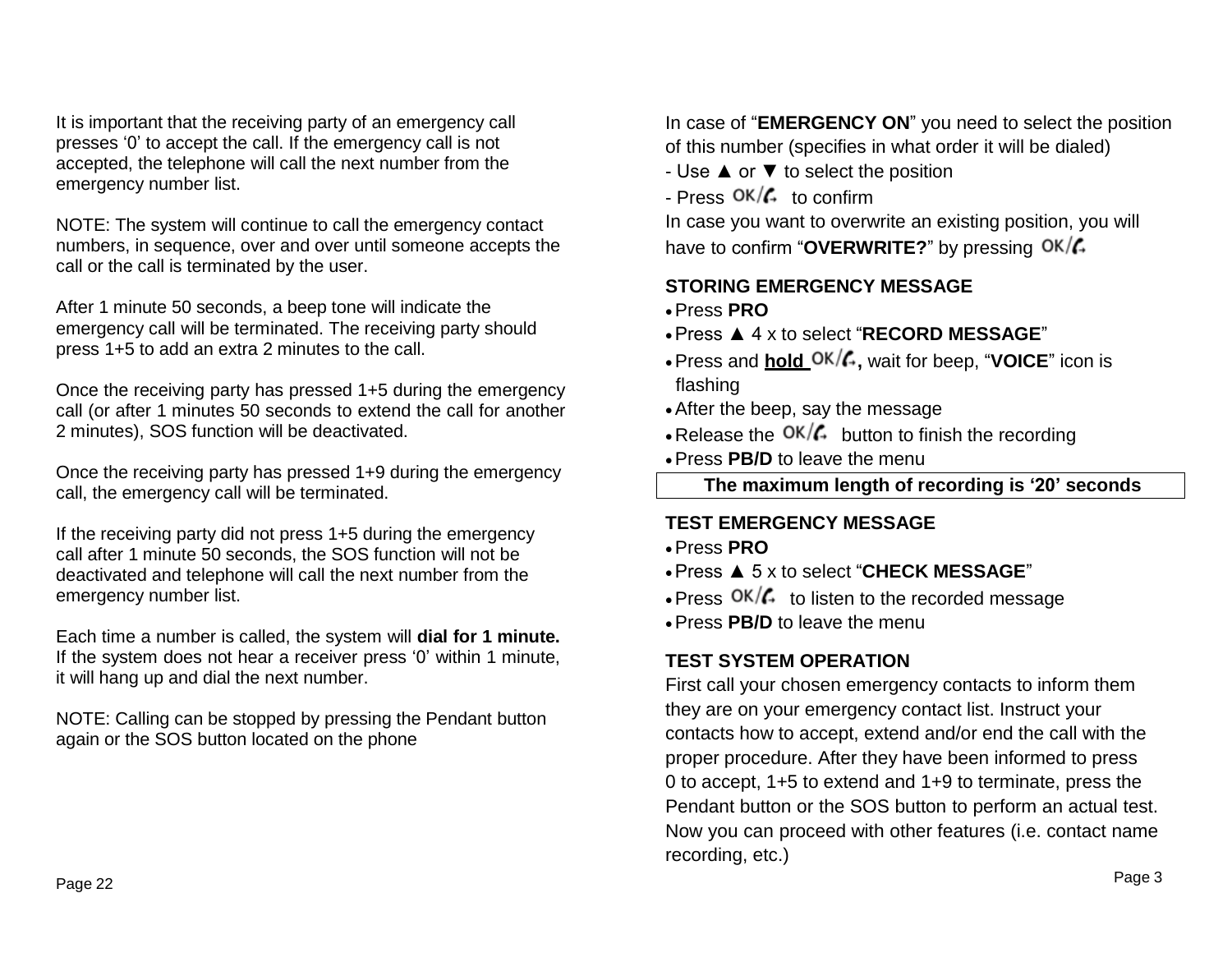It is important that the receiving party of an emergency call presses '0' to accept the call. If the emergency call is not accepted, the telephone will call the next number from the emergency number list.

NOTE: The system will continue to call the emergency contact numbers, in sequence, over and over until someone accepts the call or the call is terminated by the user.

After 1 minute 50 seconds, a beep tone will indicate the emergency call will be terminated. The receiving party should press 1+5 to add an extra 2 minutes to the call.

Once the receiving party has pressed 1+5 during the emergency call (or after 1 minutes 50 seconds to extend the call for another 2 minutes), SOS function will be deactivated.

Once the receiving party has pressed 1+9 during the emergency call, the emergency call will be terminated.

If the receiving party did not press 1+5 during the emergency call after 1 minute 50 seconds, the SOS function will not be deactivated and telephone will call the next number from the emergency number list.

Each time a number is called, the system will **dial for 1 minute.** If the system does not hear a receiver press '0' within 1 minute, it will hang up and dial the next number.

NOTE: Calling can be stopped by pressing the Pendant button again or the SOS button located on the phone

In case of "**EMERGENCY ON**" you need to select the position of this number (specifies in what order it will be dialed)

- Use ▲ or ▼ to select the position

- Press  $OK/G$  to confirm

In case you want to overwrite an existing position, you will have to confirm "**OVERWRITE?**" by pressing

# **STORING EMERGENCY MESSAGE**

- Press **PRO**
- Press ▲ 4 x to select "**RECORD MESSAGE**"
- Press and **hold**  $OK/G$ , wait for beep, "VOICE" icon is flashing
- After the beep, say the message
- Release the  $OK/\mathcal{L}$  button to finish the recording
- Press **PB/D** to leave the menu

**The maximum length of recording is '20' seconds**

## **TEST EMERGENCY MESSAGE**

- Press **PRO**
- Press ▲ 5 x to select "**CHECK MESSAGE**"
- $\cdot$  Press  $\frac{OK}{f}$  to listen to the recorded message
- Press **PB/D** to leave the menu

# **TEST SYSTEM OPERATION**

First call your chosen emergency contacts to inform them they are on your emergency contact list. Instruct your contacts how to accept, extend and/or end the call with the proper procedure. After they have been informed to press 0 to accept, 1+5 to extend and 1+9 to terminate, press the Pendant button or the SOS button to perform an actual test. Now you can proceed with other features (i.e. contact name recording, etc.)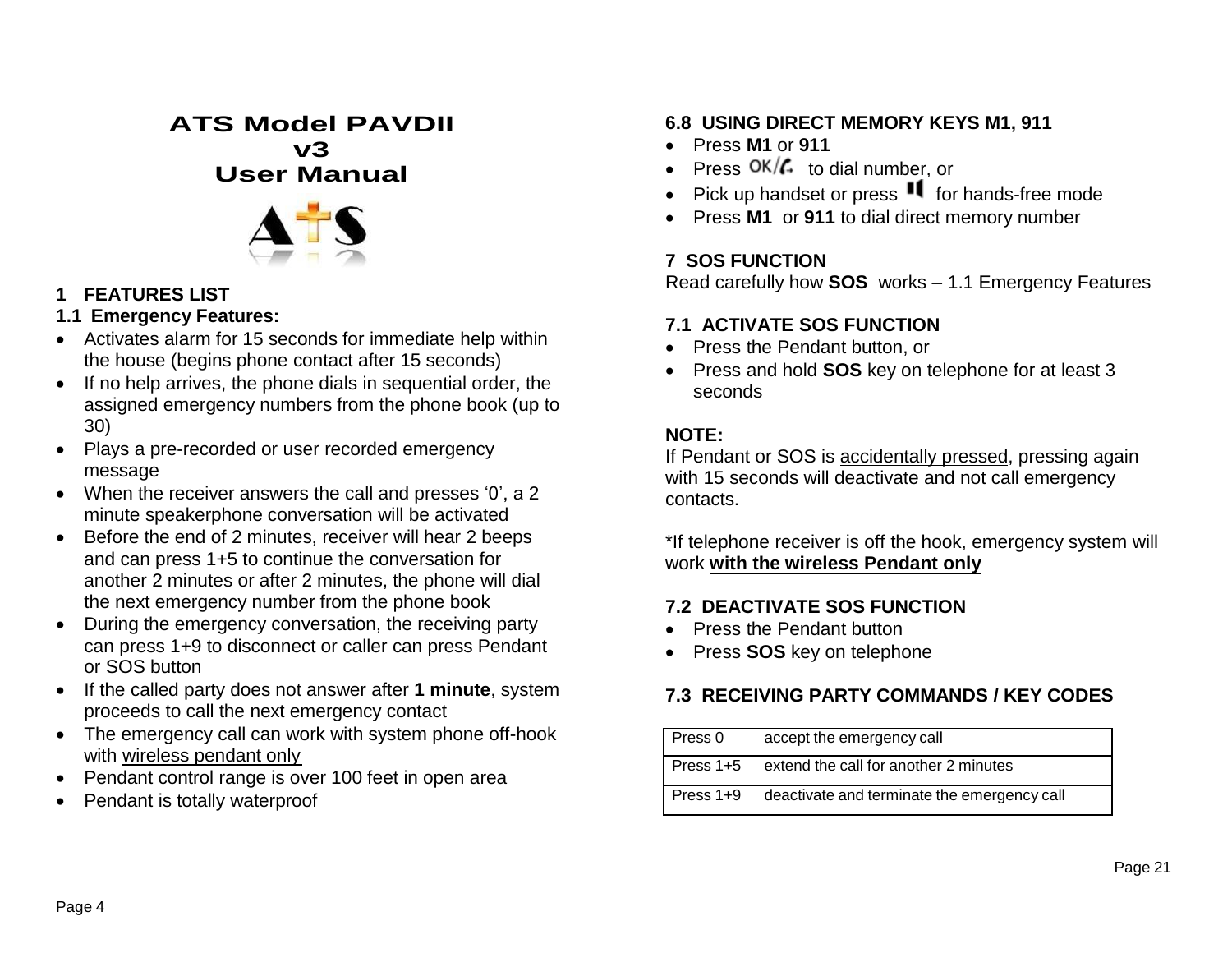# **ATS Model PAVDII v3 User Manual**



#### **1 FEATURES LIST**

#### **1.1 Emergency Features:**

- Activates alarm for 15 seconds for immediate help within the house (begins phone contact after 15 seconds)
- If no help arrives, the phone dials in sequential order, the assigned emergency numbers from the phone book (up to 30)
- Plays a pre-recorded or user recorded emergency message
- When the receiver answers the call and presses '0', a 2 minute speakerphone conversation will be activated
- Before the end of 2 minutes, receiver will hear 2 beeps and can press 1+5 to continue the conversation for another 2 minutes or after 2 minutes, the phone will dial the next emergency number from the phone book
- During the emergency conversation, the receiving party can press 1+9 to disconnect or caller can press Pendant or SOS button
- If the called party does not answer after **1 minute**, system proceeds to call the next emergency contact
- The emergency call can work with system phone off-hook with wireless pendant only
- Pendant control range is over 100 feet in open area
- Pendant is totally waterproof

# **6.8 USING DIRECT MEMORY KEYS M1, 911**

- Press **M1** or **911**
- Press  $OK/\mathcal{L}$  to dial number, or
- Pick up handset or press  $\mathbf{H}$  for hands-free mode
- Press **M1** or **911** to dial direct memory number

# **7 SOS FUNCTION**

Read carefully how **SOS** works – 1.1 Emergency Features

## **7.1 ACTIVATE SOS FUNCTION**

- Press the Pendant button, or
- Press and hold **SOS** key on telephone for at least 3 seconds

## **NOTE:**

If Pendant or SOS is accidentally pressed, pressing again with 15 seconds will deactivate and not call emergency contacts.

\*If telephone receiver is off the hook, emergency system will work **with the wireless Pendant only**

## **7.2 DEACTIVATE SOS FUNCTION**

- Press the Pendant button
- Press **SOS** key on telephone

# **7.3 RECEIVING PARTY COMMANDS / KEY CODES**

| Press 0 | accept the emergency call                               |
|---------|---------------------------------------------------------|
|         | Press 1+5   extend the call for another 2 minutes       |
|         | Press 1+9   deactivate and terminate the emergency call |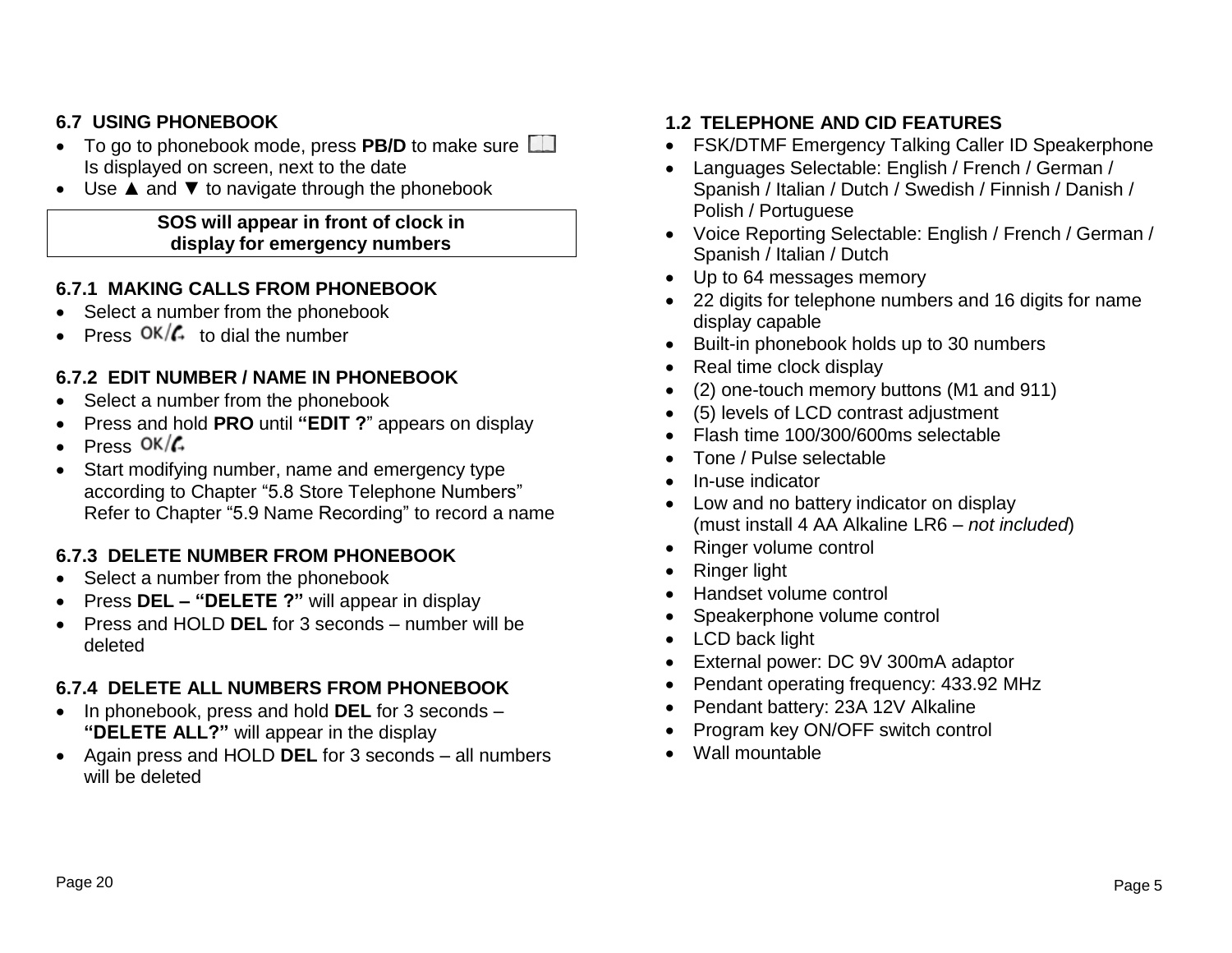#### **6.7 USING PHONEBOOK**

- To go to phonebook mode, press **PB/D** to make sure Is displayed on screen, next to the date
- Use ▲ and ▼ to navigate through the phonebook

#### **SOS will appear in front of clock in display for emergency numbers**

#### **6.7.1 MAKING CALLS FROM PHONEBOOK**

- Select a number from the phonebook
- Press  $OK/\mathcal{L}$  to dial the number

#### **6.7.2 EDIT NUMBER / NAME IN PHONEBOOK**

- Select a number from the phonebook
- Press and hold **PRO** until **"EDIT ?**" appears on display
- $\cdot$  Press OK $/$
- Start modifying number, name and emergency type according to Chapter "5.8 Store Telephone Numbers" Refer to Chapter "5.9 Name Recording" to record a name

#### **6.7.3 DELETE NUMBER FROM PHONEBOOK**

- Select a number from the phonebook
- Press **DEL – "DELETE ?"** will appear in display
- Press and HOLD **DEL** for 3 seconds number will be deleted

#### **6.7.4 DELETE ALL NUMBERS FROM PHONEBOOK**

- In phonebook, press and hold **DEL** for 3 seconds **"DELETE ALL?"** will appear in the display
- Again press and HOLD **DEL** for 3 seconds all numbers will be deleted

#### **1.2 TELEPHONE AND CID FEATURES**

- FSK/DTMF Emergency Talking Caller ID Speakerphone
- Languages Selectable: English / French / German / Spanish / Italian / Dutch / Swedish / Finnish / Danish / Polish / Portuguese
- Voice Reporting Selectable: English / French / German / Spanish / Italian / Dutch
- Up to 64 messages memory
- 22 digits for telephone numbers and 16 digits for name display capable
- Built-in phonebook holds up to 30 numbers
- Real time clock display
- (2) one-touch memory buttons (M1 and 911)
- (5) levels of LCD contrast adjustment
- Flash time 100/300/600ms selectable
- Tone / Pulse selectable
- In-use indicator
- Low and no battery indicator on display (must install 4 AA Alkaline LR6 – *not included*)
- Ringer volume control
- Ringer light
- Handset volume control
- Speakerphone volume control
- LCD back light
- External power: DC 9V 300mA adaptor
- Pendant operating frequency: 433.92 MHz
- Pendant battery: 23A 12V Alkaline
- Program key ON/OFF switch control
- Wall mountable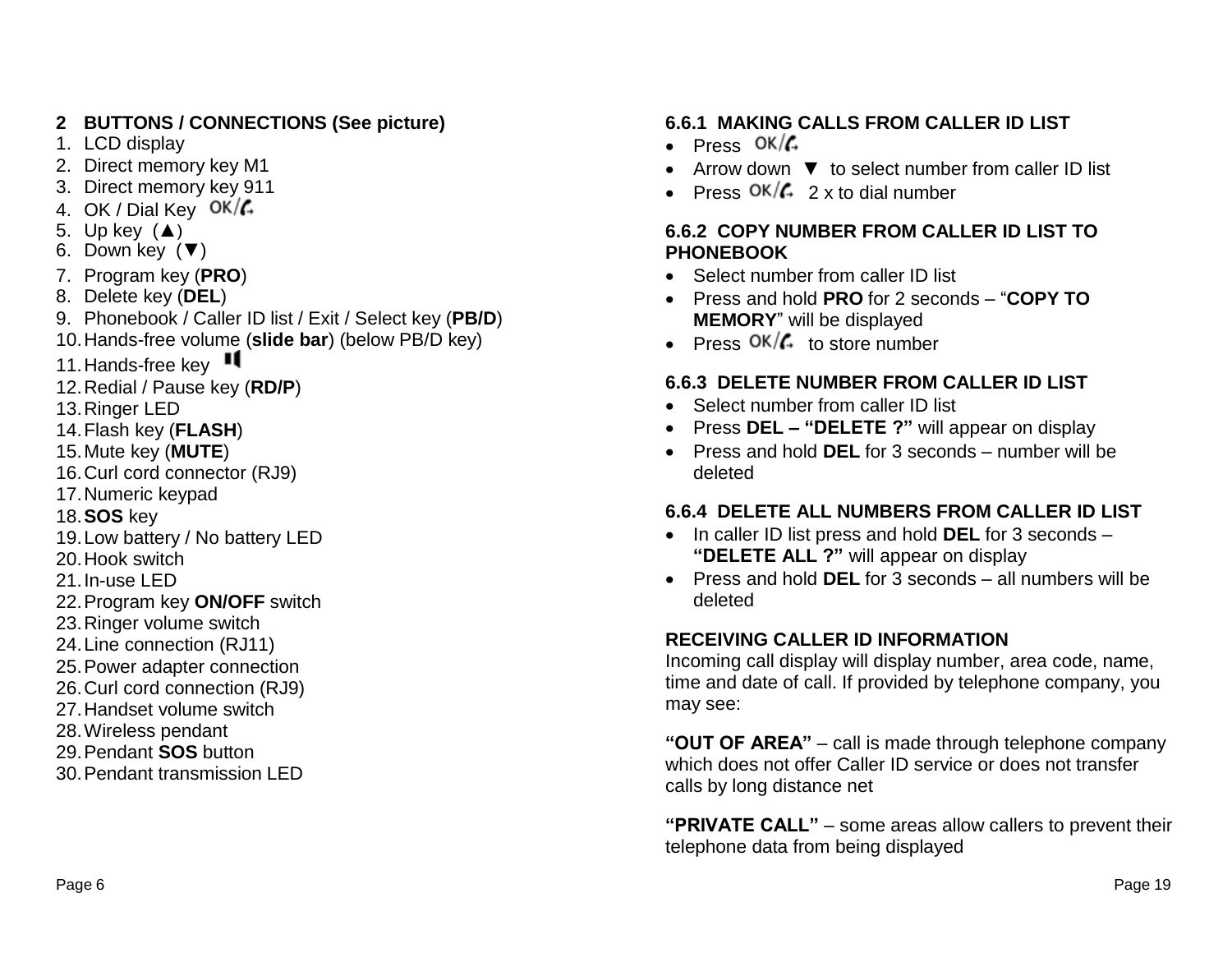# **2 BUTTONS / CONNECTIONS (See picture)**

- 1. LCD display
- 2. Direct memory key M1
- 3. Direct memory key 911
- 4. OK / Dial Key  $OK/\mathcal{L}$
- 5. Up key  $(A)$
- 6. Down key (▼)
- 7. Program key (**PRO**)
- 8. Delete key (**DEL**)
- 9. Phonebook / Caller ID list / Exit / Select key (**PB/D**)
- 10.Hands-free volume (**slide bar**) (below PB/D key)
- 11. Hands-free key
- 12.Redial / Pause key (**RD/P**)
- 13.Ringer LED
- 14.Flash key (**FLASH**)
- 15.Mute key (**MUTE**)
- 16.Curl cord connector (RJ9)
- 17.Numeric keypad
- 18.**SOS** key
- 19.Low battery / No battery LED
- 20.Hook switch
- 21.In-use LED
- 22.Program key **ON/OFF** switch
- 23.Ringer volume switch
- 24.Line connection (RJ11)
- 25.Power adapter connection
- 26.Curl cord connection (RJ9)
- 27.Handset volume switch
- 28.Wireless pendant
- 29.Pendant **SOS** button
- 30.Pendant transmission LED

#### **6.6.1 MAKING CALLS FROM CALLER ID LIST**

- Press  $OK/G$
- Arrow down ▼ to select number from caller ID list
- Press  $\frac{OK}{G}$  2 x to dial number

#### **6.6.2 COPY NUMBER FROM CALLER ID LIST TO PHONEBOOK**

- Select number from caller ID list
- Press and hold **PRO** for 2 seconds "**COPY TO MEMORY**" will be displayed
- Press  $OK/\mathcal{L}$  to store number

## **6.6.3 DELETE NUMBER FROM CALLER ID LIST**

- Select number from caller ID list
- Press **DEL – "DELETE ?"** will appear on display
- Press and hold **DEL** for 3 seconds number will be deleted

## **6.6.4 DELETE ALL NUMBERS FROM CALLER ID LIST**

- In caller ID list press and hold **DEL** for 3 seconds **"DELETE ALL ?"** will appear on display
- Press and hold **DEL** for 3 seconds all numbers will be deleted

#### **RECEIVING CALLER ID INFORMATION**

Incoming call display will display number, area code, name, time and date of call. If provided by telephone company, you may see:

**"OUT OF AREA"** – call is made through telephone company which does not offer Caller ID service or does not transfer calls by long distance net

**"PRIVATE CALL"** – some areas allow callers to prevent their telephone data from being displayed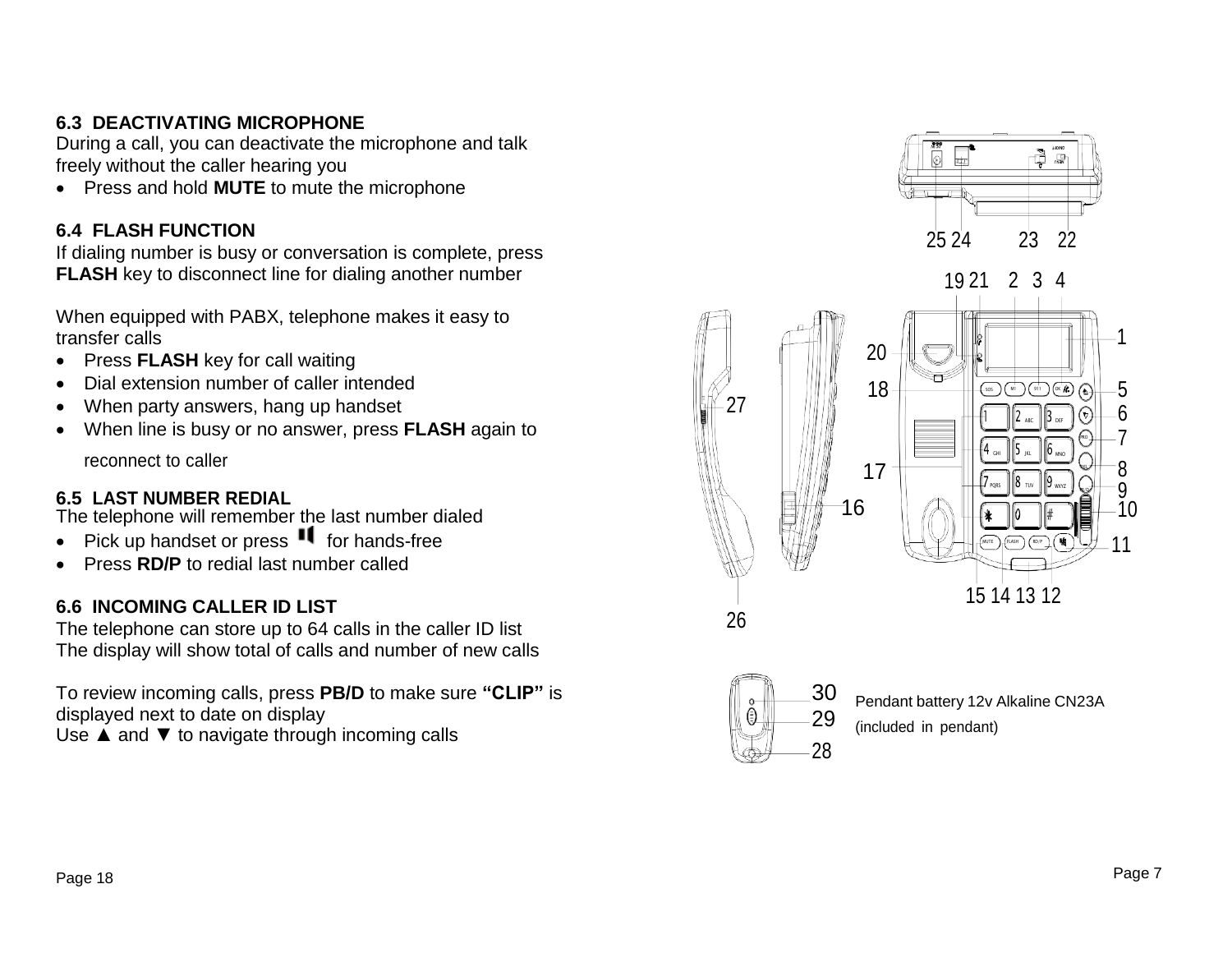## **6.3 DEACTIVATING MICROPHONE**

During a call, you can deactivate the microphone and talk freely without the caller hearing you

Press and hold **MUTE** to mute the microphone

#### **6.4 FLASH FUNCTION**

If dialing number is busy or conversation is complete, press **FLASH** key to disconnect line for dialing another number

When equipped with PABX, telephone makes it easy to transfer calls

- Press **FLASH** key for call waiting
- Dial extension number of caller intended
- When party answers, hang up handset
- When line is busy or no answer, press **FLASH** again to

**6.5 LAST NUMBER REDIAL**<br>The telephone will remember the last number dialed<br> $\blacksquare$  16

- Pick up handset or press  $\blacksquare$  for hands-free
- **Press RD/P** to redial last number called

#### **6.6 INCOMING CALLER ID LIST**

The telephone can store up to 64 calls in the caller ID list The display will show total of calls and number of new calls

To review incoming calls, press **PB/D** to make sure **"CLIP"** is displayed next to date on display Use  $\blacktriangle$  and  $\nabla$  to navigate through incoming calls







30 Pendant battery 12v Alkaline CN23A<br>29 (included in pendant) (included in pendant)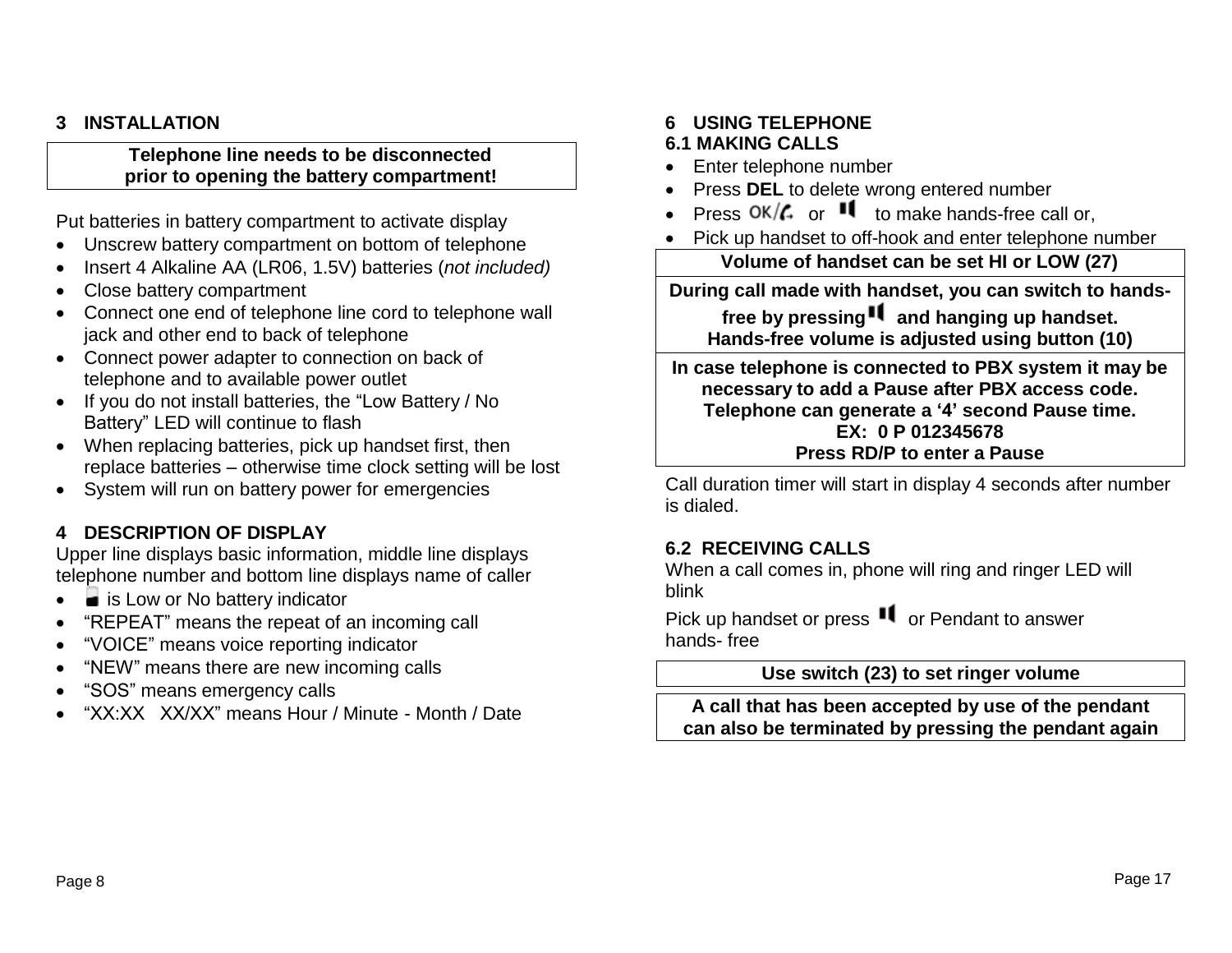#### **3 INSTALLATION**

#### **Telephone line needs to be disconnected prior to opening the battery compartment!**

Put batteries in battery compartment to activate display

- Unscrew battery compartment on bottom of telephone
- Insert 4 Alkaline AA (LR06, 1.5V) batteries (*not included)*
- Close battery compartment
- Connect one end of telephone line cord to telephone wall jack and other end to back of telephone
- Connect power adapter to connection on back of telephone and to available power outlet
- If you do not install batteries, the "Low Battery / No Battery" LED will continue to flash
- When replacing batteries, pick up handset first, then replace batteries – otherwise time clock setting will be lost
- System will run on battery power for emergencies

#### **4 DESCRIPTION OF DISPLAY**

Upper line displays basic information, middle line displays telephone number and bottom line displays name of caller

- is Low or No battery indicator
- "REPEAT" means the repeat of an incoming call
- "VOICE" means voice reporting indicator
- "NEW" means there are new incoming calls
- "SOS" means emergency calls
- "XX:XX XX/XX" means Hour / Minute Month / Date

#### **6 USING TELEPHONE**

#### **6.1 MAKING CALLS**

- Enter telephone number
- Press **DEL** to delete wrong entered number
- Press  $OK/\mathcal{C}_r$  or  $\blacksquare$  to make hands-free call or,
- Pick up handset to off-hook and enter telephone number

**Volume of handset can be set HI or LOW (27)**

**During call made with handset, you can switch to hands-**

**free by pressing and hanging up handset. Hands-free volume is adjusted using button (10)**

**In case telephone is connected to PBX system it may be necessary to add a Pause after PBX access code. Telephone can generate a '4' second Pause time. EX: 0 P 012345678 Press RD/P to enter a Pause**

Call duration timer will start in display 4 seconds after number is dialed.

#### **6.2 RECEIVING CALLS**

When a call comes in, phone will ring and ringer LED will blink

Pick up handset or press  $\blacksquare$  or Pendant to answer hands- free

#### **Use switch (23) to set ringer volume**

**A call that has been accepted by use of the pendant can also be terminated by pressing the pendant again**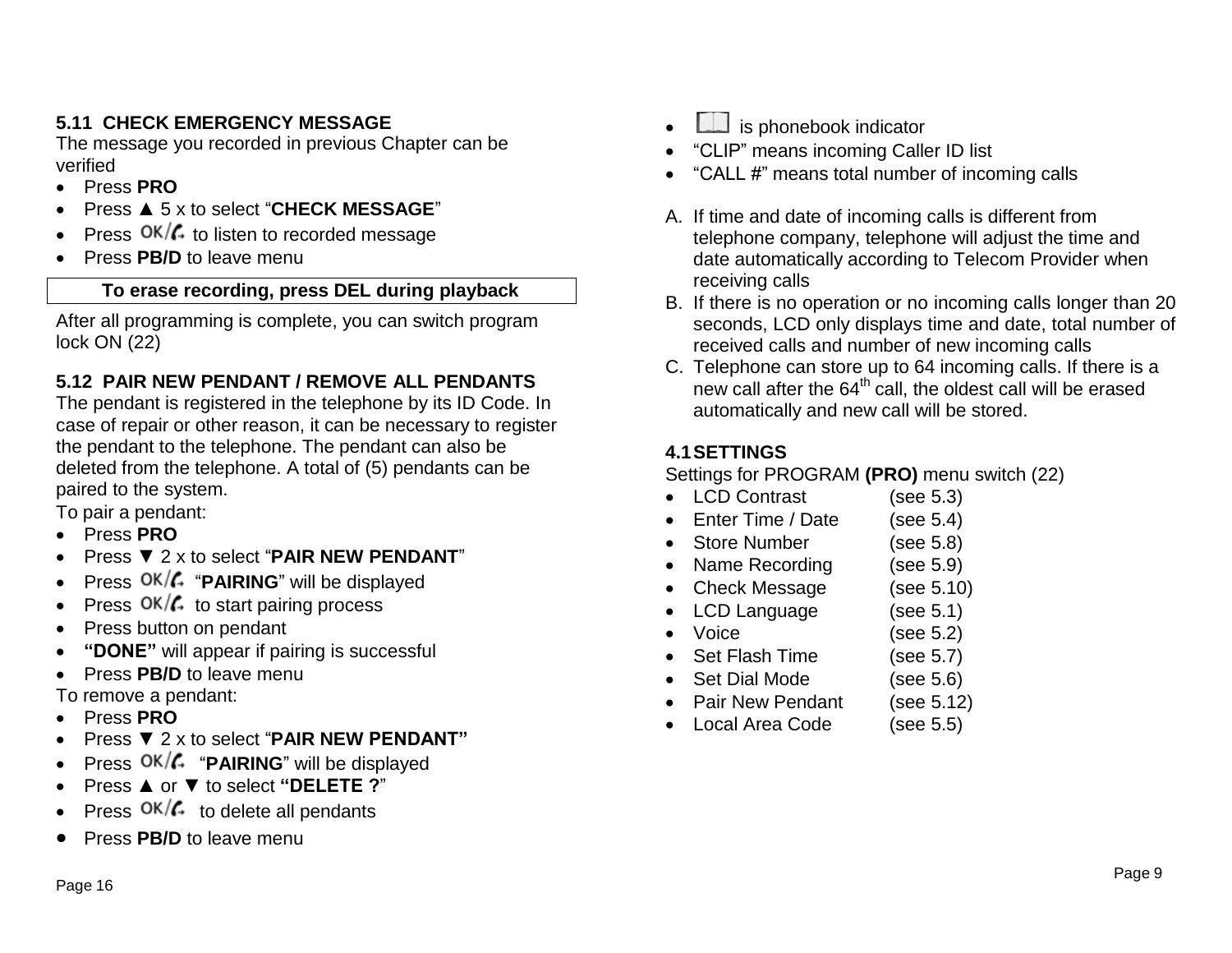## **5.11 CHECK EMERGENCY MESSAGE**

The message you recorded in previous Chapter can be verified

- Press **PRO**
- Press ▲ 5 x to select "**CHECK MESSAGE**"
- Press  $OK/G$  to listen to recorded message
- Press **PB/D** to leave menu

#### **To erase recording, press DEL during playback**

After all programming is complete, you can switch program lock ON (22)

## **5.12 PAIR NEW PENDANT / REMOVE ALL PENDANTS**

The pendant is registered in the telephone by its ID Code. In case of repair or other reason, it can be necessary to register the pendant to the telephone. The pendant can also be deleted from the telephone. A total of (5) pendants can be paired to the system.

To pair a pendant:

- Press **PRO**
- Press ▼ 2 x to select "**PAIR NEW PENDANT**"
- Press OK/**4** "PAIRING" will be displayed
- Press  $OK/G$  to start pairing process
- Press button on pendant
- **"DONE"** will appear if pairing is successful
- Press **PB/D** to leave menu

To remove a pendant:

- Press **PRO**
- Press ▼ 2 x to select "**PAIR NEW PENDANT"**
- Press  $OK/G$  "**PAIRING**" will be displayed
- Press ▲ or ▼ to select **"DELETE ?**"
- Press  $OK/\mathcal{L}$  to delete all pendants
- Press **PB/D** to leave menu
- $L$  is phonebook indicator
- "CLIP" means incoming Caller ID list
- "CALL #" means total number of incoming calls
- A. If time and date of incoming calls is different from telephone company, telephone will adjust the time and date automatically according to Telecom Provider when receiving calls
- B. If there is no operation or no incoming calls longer than 20 seconds, LCD only displays time and date, total number of received calls and number of new incoming calls
- C. Telephone can store up to 64 incoming calls. If there is a new call after the  $64<sup>th</sup>$  call, the oldest call will be erased automatically and new call will be stored.

## **4.1SETTINGS**

Settings for PROGRAM **(PRO)** menu switch (22)

- LCD Contrast (see 5.3)
- Enter Time / Date (see 5.4)
- Store Number (see 5.8)
- Name Recording (see 5.9)
- Check Message (see 5.10)
- LCD Language (see 5.1)
- Voice (see 5.2)
- Set Flash Time (see 5.7)
- Set Dial Mode (see 5.6)
- Pair New Pendant (see 5.12)
- Local Area Code (see 5.5)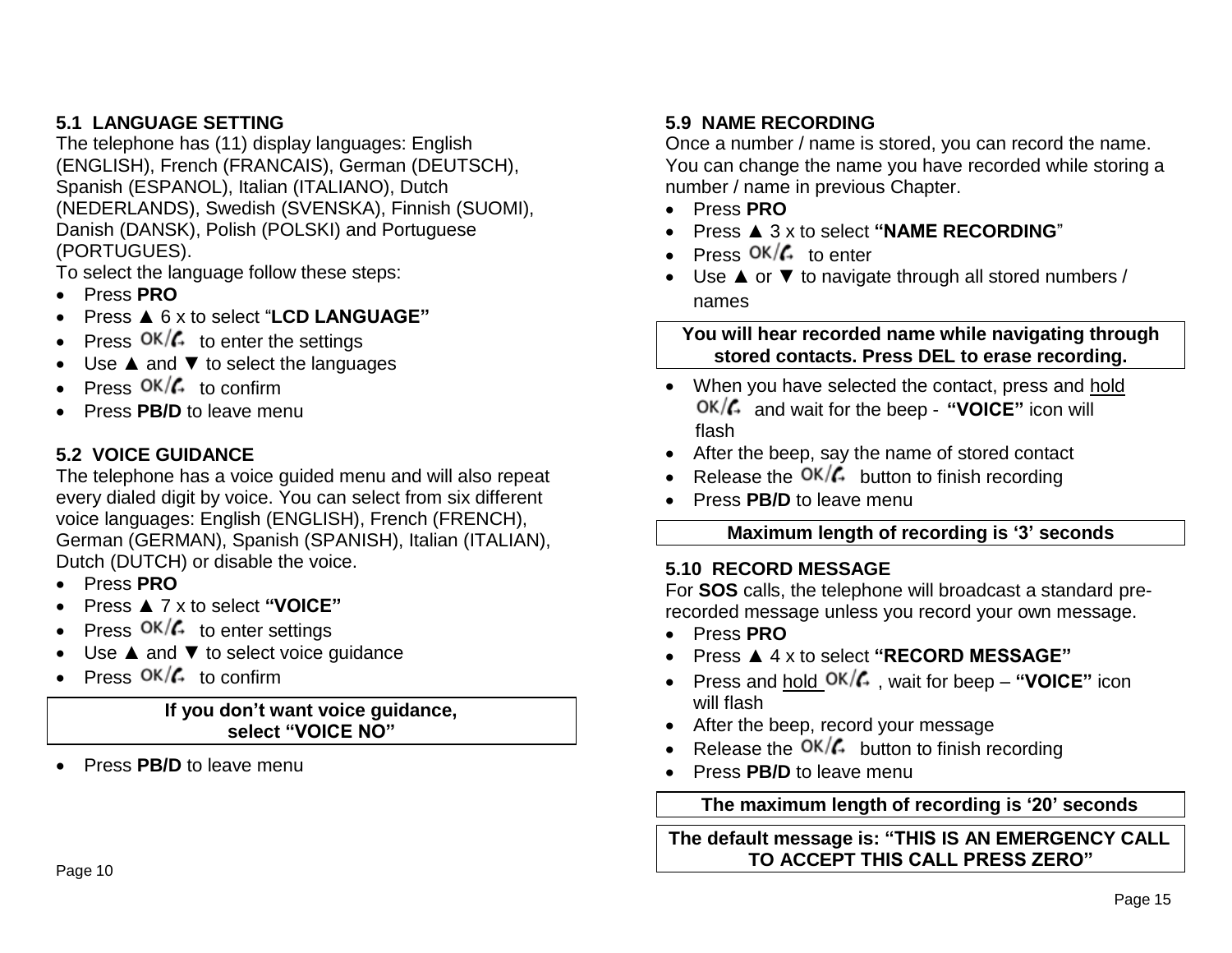#### **5.1 LANGUAGE SETTING**

The telephone has (11) display languages: English (ENGLISH), French (FRANCAIS), German (DEUTSCH), Spanish (ESPANOL), Italian (ITALIANO), Dutch (NEDERLANDS), Swedish (SVENSKA), Finnish (SUOMI), Danish (DANSK), Polish (POLSKI) and Portuguese (PORTUGUES).

To select the language follow these steps:

- Press **PRO**
- Press ▲ 6 x to select "**LCD LANGUAGE"**
- Press  $OK/\mathcal{L}$  to enter the settings
- Use ▲ and ▼ to select the languages
- Press  $OK/\mathcal{L}$  to confirm
- Press **PB/D** to leave menu

#### **5.2 VOICE GUIDANCE**

The telephone has a voice guided menu and will also repeat every dialed digit by voice. You can select from six different voice languages: English (ENGLISH), French (FRENCH), German (GERMAN), Spanish (SPANISH), Italian (ITALIAN), Dutch (DUTCH) or disable the voice.

- Press **PRO**
- Press ▲ 7 x to select **"VOICE"**
- Press  $OK/\mathcal{C}$  to enter settings
- Use ▲ and ▼ to select voice guidance
- Press  $OK/\mathcal{L}$  to confirm

#### **If you don't want voice guidance, select "VOICE NO"**

Press **PB/D** to leave menu

## **5.9 NAME RECORDING**

Once a number / name is stored, you can record the name. You can change the name you have recorded while storing a number / name in previous Chapter.

- Press **PRO**
- Press ▲ 3 x to select **"NAME RECORDING**"
- Press  $OK/\mathcal{L}$  to enter
- Use ▲ or ▼ to navigate through all stored numbers / names

**You will hear recorded name while navigating through stored contacts. Press DEL to erase recording.**

- When you have selected the contact, press and hold and wait for the beep - **"VOICE"** icon will flash
- After the beep, say the name of stored contact
- Release the  $OK/\mathcal{L}$  button to finish recording
- Press **PB/D** to leave menu

## **Maximum length of recording is '3' seconds**

#### **5.10 RECORD MESSAGE**

For **SOS** calls, the telephone will broadcast a standard prerecorded message unless you record your own message.

- Press **PRO**
- Press ▲ 4 x to select **"RECORD MESSAGE"**
- Press and hold  $OK/\mathcal{L}$ , wait for beep "VOICE" icon will flash
- After the beep, record your message
- Release the  $OK/f_{+}$  button to finish recording
- Press **PB/D** to leave menu

#### **The maximum length of recording is '20' seconds**

**The default message is: "THIS IS AN EMERGENCY CALL TO ACCEPT THIS CALL PRESS ZERO"**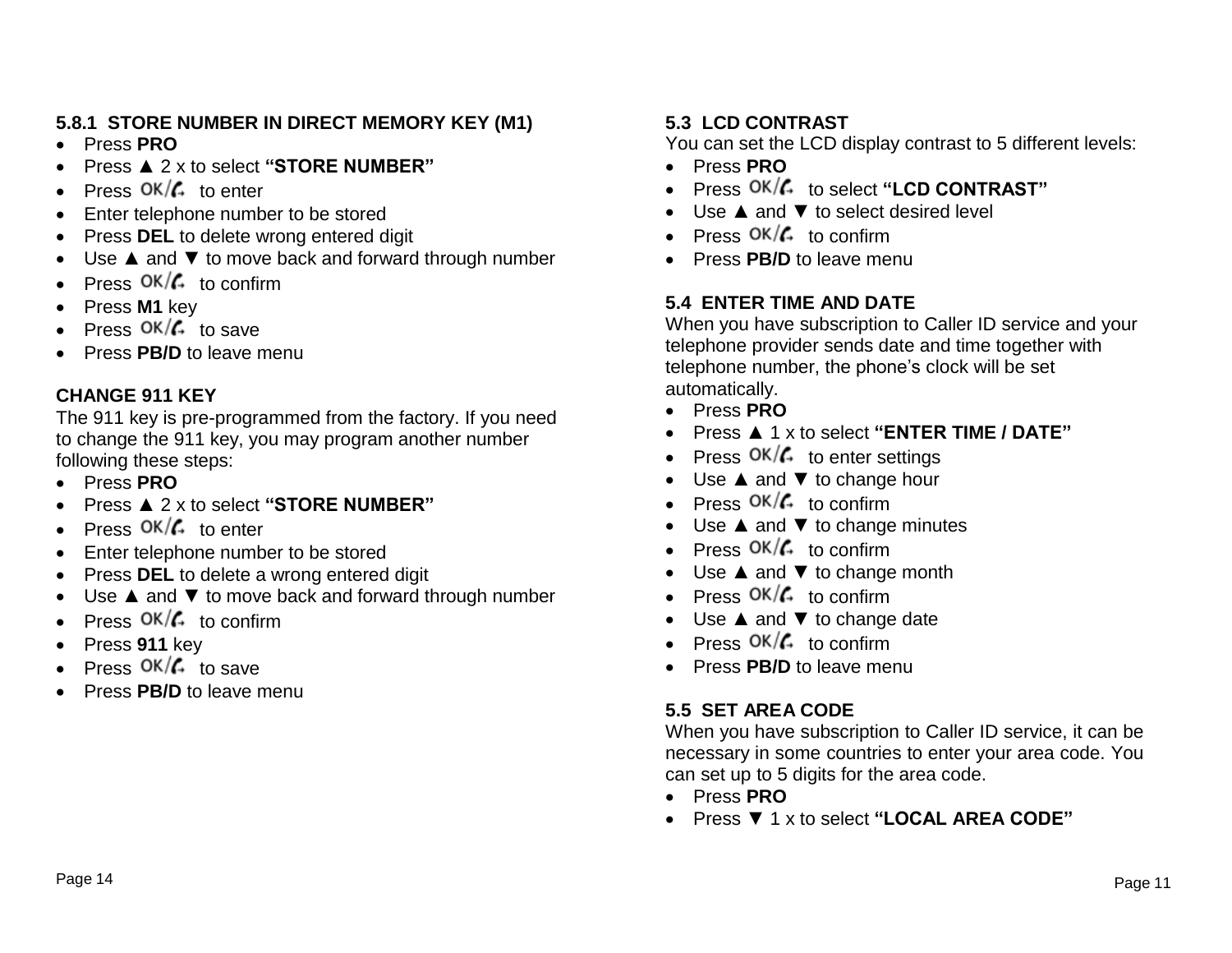# **5.8.1 STORE NUMBER IN DIRECT MEMORY KEY (M1)**

- Press **PRO**
- Press ▲ 2 x to select **"STORE NUMBER"**
- Press  $OK/G$  to enter
- Enter telephone number to be stored
- Press **DEL** to delete wrong entered digit
- Use ▲ and ▼ to move back and forward through number
- Press  $OK/\mathcal{L}$  to confirm
- Press **M1** key
- Press  $OK/G$  to save
- Press **PB/D** to leave menu

# **CHANGE 911 KEY**

The 911 key is pre-programmed from the factory. If you need to change the 911 key, you may program another number following these steps:

- Press **PRO**
- Press ▲ 2 x to select **"STORE NUMBER"**
- Press  $OK/\mathcal{L}$  to enter
- Enter telephone number to be stored
- Press **DEL** to delete a wrong entered digit
- Use ▲ and ▼ to move back and forward through number
- Press  $OK/\mathcal{L}$  to confirm
- Press **911** key
- Press  $OK/G$  to save
- Press **PB/D** to leave menu

# **5.3 LCD CONTRAST**

You can set the LCD display contrast to 5 different levels:

- Press **PRO**
- Press  $OK/G$  to select "LCD CONTRAST"
- Use **▲ and ▼ to select desired level**
- Press  $OK/G$  to confirm
- Press **PB/D** to leave menu

# **5.4 ENTER TIME AND DATE**

When you have subscription to Caller ID service and your telephone provider sends date and time together with telephone number, the phone's clock will be set automatically.

- Press **PRO**
- Press ▲ 1 x to select **"ENTER TIME / DATE"**
- Press  $OK/G$  to enter settings
- Use ▲ and ▼ to change hour
- Press  $OK/\mathcal{L}$  to confirm
- Use ▲ and ▼ to change minutes
- Press  $OK/G$  to confirm
- Use **▲** and ▼ to change month
- Press  $OK/G$  to confirm
- Use **▲** and ▼ to change date
- Press  $OK/G$  to confirm
- Press **PB/D** to leave menu

# **5.5 SET AREA CODE**

When you have subscription to Caller ID service, it can be necessary in some countries to enter your area code. You can set up to 5 digits for the area code.

- Press **PRO**
- Press ▼ 1 x to select **"LOCAL AREA CODE"**